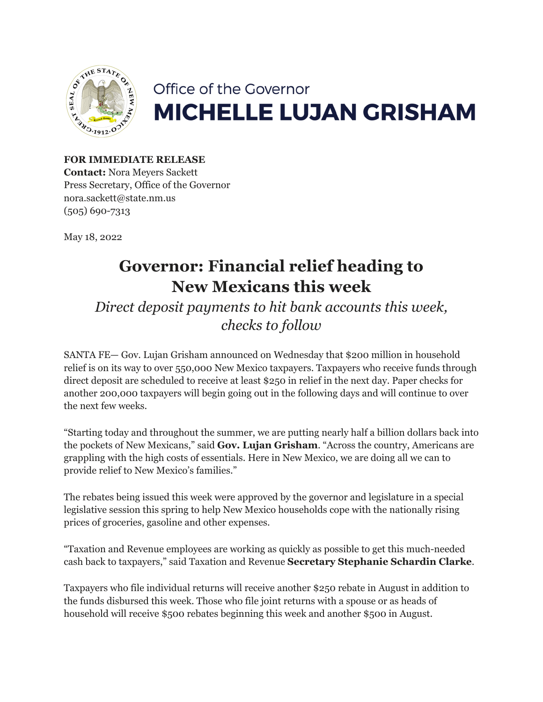

## Office of the Governor **MICHELLE LUJAN GRISHAM**

## **FOR IMMEDIATE RELEASE Contact:** Nora Meyers Sackett

Press Secretary, Office of the Governor nora.sackett@state.nm.us (505) 690-7313

May 18, 2022

## **Governor: Financial relief heading to New Mexicans this week**

*Direct deposit payments to hit bank accounts this week, checks to follow*

SANTA FE— Gov. Lujan Grisham announced on Wednesday that \$200 million in household relief is on its way to over 550,000 New Mexico taxpayers. Taxpayers who receive funds through direct deposit are scheduled to receive at least \$250 in relief in the next day. Paper checks for another 200,000 taxpayers will begin going out in the following days and will continue to over the next few weeks.

"Starting today and throughout the summer, we are putting nearly half a billion dollars back into the pockets of New Mexicans," said **Gov. Lujan Grisham**. "Across the country, Americans are grappling with the high costs of essentials. Here in New Mexico, we are doing all we can to provide relief to New Mexico's families."

The rebates being issued this week were approved by the governor and legislature in a special legislative session this spring to help New Mexico households cope with the nationally rising prices of groceries, gasoline and other expenses.

"Taxation and Revenue employees are working as quickly as possible to get this much-needed cash back to taxpayers," said Taxation and Revenue **Secretary Stephanie Schardin Clarke**.

Taxpayers who file individual returns will receive another \$250 rebate in August in addition to the funds disbursed this week. Those who file joint returns with a spouse or as heads of household will receive \$500 rebates beginning this week and another \$500 in August.